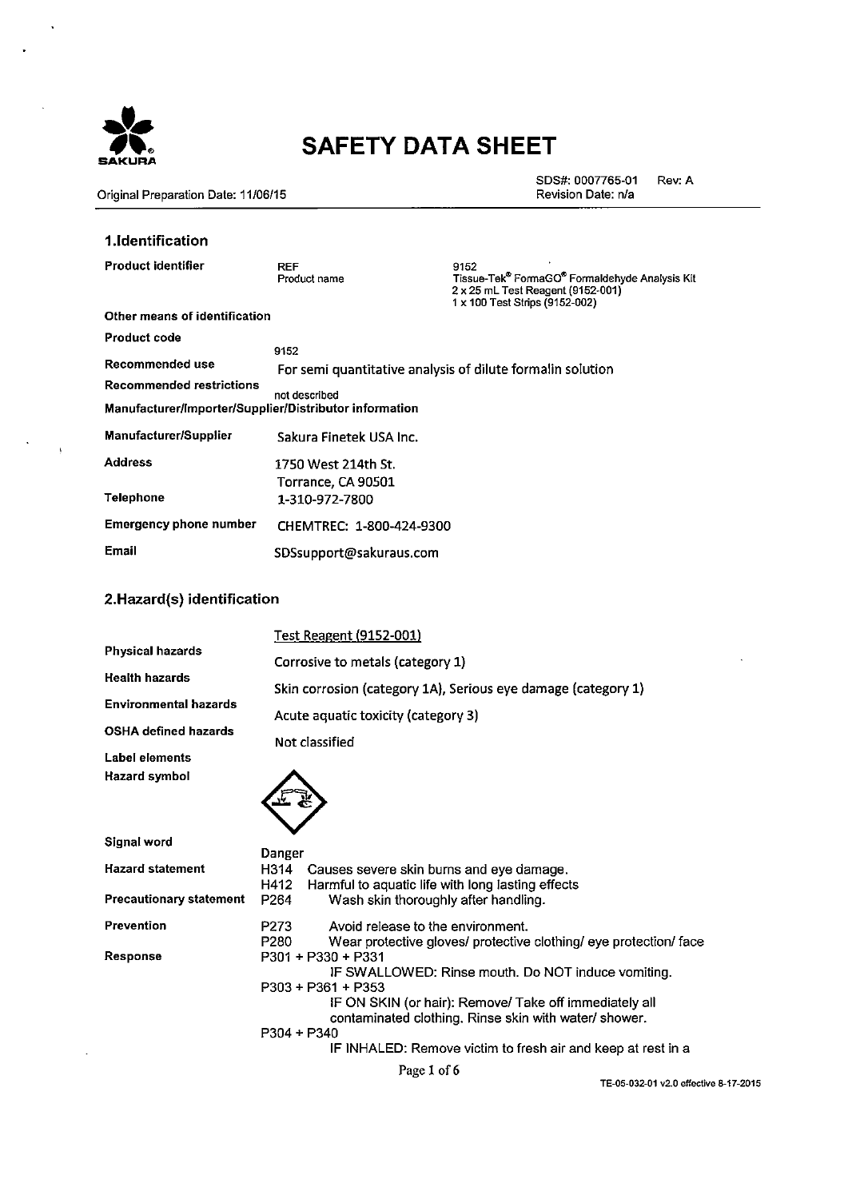

 $\overline{ }$ 

 $\langle \cdot \rangle$ 

 $\lambda$ 

 $\cdot$ 

# **SAFETY DATA SHEET**

Original Preparation Date: 11/06/15

SDS#: 0007765-01 Rev: A Revision Date: n/a

### 1.Identification

| Product identifier                                     | <b>RFF</b><br>Product name                                 | 9152<br>Tissue-Tek <sup>®</sup> FormaGO <sup>®</sup> Formaldehyde Analysis Kit<br>2 x 25 mL Test Reagent (9152-001)<br>1 x 100 Test Strips (9152-002) |
|--------------------------------------------------------|------------------------------------------------------------|-------------------------------------------------------------------------------------------------------------------------------------------------------|
| Other means of identification                          |                                                            |                                                                                                                                                       |
| Product code                                           |                                                            |                                                                                                                                                       |
|                                                        | 9152                                                       |                                                                                                                                                       |
| Recommended use                                        | For semi quantitative analysis of dilute formalin solution |                                                                                                                                                       |
| Recommended restrictions                               | not described                                              |                                                                                                                                                       |
| Manufacturer/Importer/Supplier/Distributor information |                                                            |                                                                                                                                                       |
| <b>Manufacturer/Supplier</b>                           | Sakura Finetek USA Inc.                                    |                                                                                                                                                       |
| Address                                                | 1750 West 214th St.                                        |                                                                                                                                                       |
|                                                        | Torrance, CA 90501                                         |                                                                                                                                                       |
| Telephone                                              | 1-310-972-7800                                             |                                                                                                                                                       |
| Emergency phone number                                 | CHEMTREC: 1-800-424-9300                                   |                                                                                                                                                       |
| Email                                                  | SDSsupport@sakuraus.com                                    |                                                                                                                                                       |

## 2.Hazard(s) identification

|                              | <b>Test Reagent (9152-001)</b>                                                                                         |
|------------------------------|------------------------------------------------------------------------------------------------------------------------|
| Physical hazards             | Corrosive to metals (category 1)                                                                                       |
| Health hazards               | Skin corrosion (category 1A), Serious eye damage (category 1)                                                          |
| <b>Environmental hazards</b> | Acute aquatic toxicity (category 3)                                                                                    |
| OSHA defined hazards         | Not classified                                                                                                         |
| Label elements               |                                                                                                                        |
| Hazard symbol                |                                                                                                                        |
| Signal word                  | Danger                                                                                                                 |
| <b>Hazard statement</b>      | H314<br>Causes severe skin burns and eye damage.<br>Harmful to aquatic life with long lasting effects<br>H412          |
| Precautionary statement      | P <sub>264</sub><br>Wash skin thoroughly after handling.                                                               |
| Prevention                   | P273<br>Avoid release to the environment.<br>P280<br>Wear protective gloves/ protective clothing/ eye protection/ face |
| Response                     | P301 + P330 + P331<br>IF SWALLOWED: Rinse mouth. Do NOT induce vomiting.<br>$P303 + P361 + P353$                       |
|                              | IF ON SKIN (or hair): Remove/ Take off immediately all<br>contaminated clothing. Rinse skin with water/ shower.        |
|                              | P304 + P340<br>IF INHALED: Remove victim to fresh air and keep at rest in a                                            |
|                              | Page 1 of 6                                                                                                            |

TE-05-032-01 v2.0 effective 8-17-2015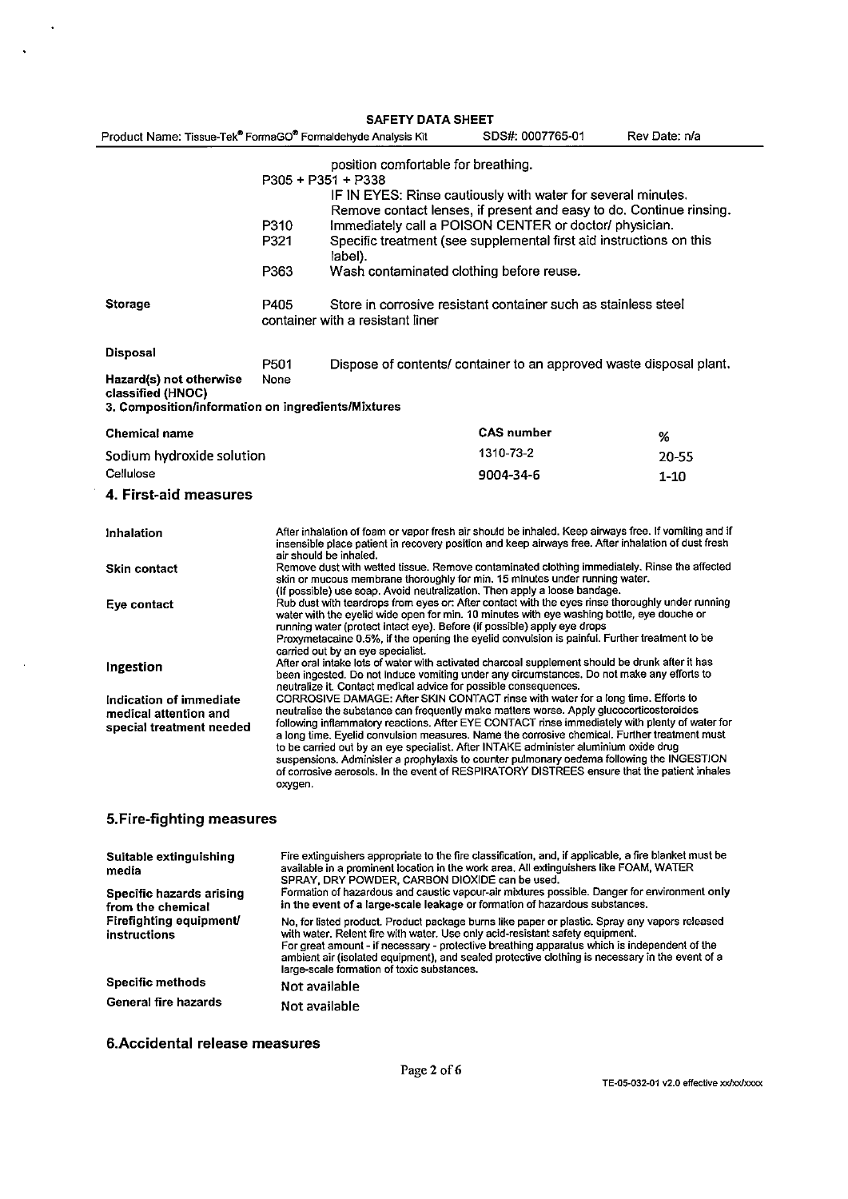|                                                    | <b>SAFETY DATA SHEET</b>                                                                                                                                                                                                                                                                                                                                                                    |                                                                                                                                     |               |
|----------------------------------------------------|---------------------------------------------------------------------------------------------------------------------------------------------------------------------------------------------------------------------------------------------------------------------------------------------------------------------------------------------------------------------------------------------|-------------------------------------------------------------------------------------------------------------------------------------|---------------|
|                                                    | Product Name: Tissue-Tek® FormaGO® Formaldehyde Analysis Kit                                                                                                                                                                                                                                                                                                                                | SDS#: 0007765-01                                                                                                                    | Rev Date: n/a |
|                                                    | position comfortable for breathing.<br>$P305 + P351 + P338$                                                                                                                                                                                                                                                                                                                                 |                                                                                                                                     |               |
|                                                    |                                                                                                                                                                                                                                                                                                                                                                                             | IF IN EYES: Rinse cautiously with water for several minutes.<br>Remove contact lenses, if present and easy to do. Continue rinsing. |               |
|                                                    | P310                                                                                                                                                                                                                                                                                                                                                                                        | Immediately call a POISON CENTER or doctor/ physician.                                                                              |               |
|                                                    | P321<br>label).                                                                                                                                                                                                                                                                                                                                                                             | Specific treatment (see supplemental first aid instructions on this                                                                 |               |
|                                                    | P363                                                                                                                                                                                                                                                                                                                                                                                        | Wash contaminated clothing before reuse.                                                                                            |               |
| <b>Storage</b>                                     | P405<br>container with a resistant liner                                                                                                                                                                                                                                                                                                                                                    | Store in corrosive resistant container such as stainless steel                                                                      |               |
| Disposal                                           | P501                                                                                                                                                                                                                                                                                                                                                                                        | Dispose of contents/ container to an approved waste disposal plant.                                                                 |               |
| Hazard(s) not otherwise<br>classified (HNOC)       | None                                                                                                                                                                                                                                                                                                                                                                                        |                                                                                                                                     |               |
| 3. Composition/information on ingredients/Mixtures |                                                                                                                                                                                                                                                                                                                                                                                             |                                                                                                                                     |               |
| <b>Chemical name</b>                               |                                                                                                                                                                                                                                                                                                                                                                                             | <b>CAS number</b>                                                                                                                   | %             |
| Sodium hydroxide solution                          |                                                                                                                                                                                                                                                                                                                                                                                             | 1310-73-2                                                                                                                           | $20 - 55$     |
| Cellulose                                          |                                                                                                                                                                                                                                                                                                                                                                                             | 9004-34-6                                                                                                                           | $1 - 10$      |
| 4. First-aid measures                              |                                                                                                                                                                                                                                                                                                                                                                                             |                                                                                                                                     |               |
| Inhalation                                         | After inhalation of foam or vapor fresh air should be inhaled. Keep airways free. If vomiting and if<br>insensible place patient in recovery position and keep airways free. After inhalation of dust fresh<br>air should be inhaled.                                                                                                                                                       |                                                                                                                                     |               |
| <b>Skin contact</b>                                | Remove dust with wetted tissue. Remove contaminated clothing immediately. Rinse the affected<br>skin or mucous membrane thoroughly for min. 15 minutes under running water.<br>(If possible) use soap. Avoid neutralization. Then apply a loose bandage.                                                                                                                                    |                                                                                                                                     |               |
| Eye contact                                        | Rub dust with teardrops from eyes or: After contact with the eyes rinse thoroughly under running<br>water with the eyelid wide open for min. 10 minutes with eye washing bottle, eye douche or<br>running water (protect intact eye). Before (if possible) apply eye drops<br>Proxymetacaine 0.5%, if the opening the eyelid convulsion is painful. Further treatment to be                 |                                                                                                                                     |               |
| Ingestion                                          | carried out by an eye specialist.<br>After oral intake lots of water with activated charcoal supplement should be drunk after it has<br>been ingested. Do not induce vomiting under any circumstances. Do not make any efforts to<br>neutralize it. Contact medical advice for possible consequences.                                                                                       |                                                                                                                                     |               |
| <b>Indication of immediate</b>                     | CORROSIVE DAMAGE: After SKIN CONTACT rinse with water for a long time. Efforts to                                                                                                                                                                                                                                                                                                           |                                                                                                                                     |               |
| medical attention and                              | neutralise the substance can frequently make matters worse. Apply glucocorticosteroides<br>following inflammatory reactions. After EYE CONTACT rinse immediately with plenty of water for                                                                                                                                                                                                   |                                                                                                                                     |               |
| special treatment needed                           | a long time. Eyelid convulsion measures. Name the corrosive chemical. Further treatment must<br>to be carried out by an eye specialist. After INTAKE administer aluminium oxide drug<br>suspensions. Administer a prophylaxis to counter pulmonary oedema following the INGESTION<br>of corrosive aerosols. In the event of RESPIRATORY DISTREES ensure that the patient inhales<br>oxygen. |                                                                                                                                     |               |
| 5. Fire-fighting measures                          |                                                                                                                                                                                                                                                                                                                                                                                             |                                                                                                                                     |               |
| .                                                  | Fire authorithers consensing to the fire closelfination, and if anolicable, a fire blacket must be                                                                                                                                                                                                                                                                                          |                                                                                                                                     |               |

| Suitable extinguishing<br>media               | Fire extinguishers appropriate to the fire classification, and, if applicable, a fire blanket must be<br>available in a prominent location in the work area. All extinguishers like FOAM, WATER<br>SPRAY, DRY POWDER, CARBON DIOXIDE can be used.                                                                                                                                                                                |
|-----------------------------------------------|----------------------------------------------------------------------------------------------------------------------------------------------------------------------------------------------------------------------------------------------------------------------------------------------------------------------------------------------------------------------------------------------------------------------------------|
| Specific hazards arising<br>from the chemical | Formation of hazardous and caustic vapour-air mixtures possible. Danger for environment only<br>in the event of a large-scale leakage or formation of hazardous substances.                                                                                                                                                                                                                                                      |
| Firefighting equipment<br>instructions        | No, for listed product. Product package burns like paper or plastic. Spray any vapors released<br>with water. Relent fire with water. Use only acid-resistant safety equipment.<br>For great amount - if necessary - protective breathing apparatus which is independent of the<br>ambient air (isolated equipment), and sealed protective clothing is necessary in the event of a<br>large-scale formation of toxic substances. |
| <b>Specific methods</b>                       | Not available                                                                                                                                                                                                                                                                                                                                                                                                                    |
| General fire hazards                          | Not available                                                                                                                                                                                                                                                                                                                                                                                                                    |

6. Accidental release measures

 $\sim$   $\star$ 

 $\bar{\alpha}$ 

 $\sim 10^6$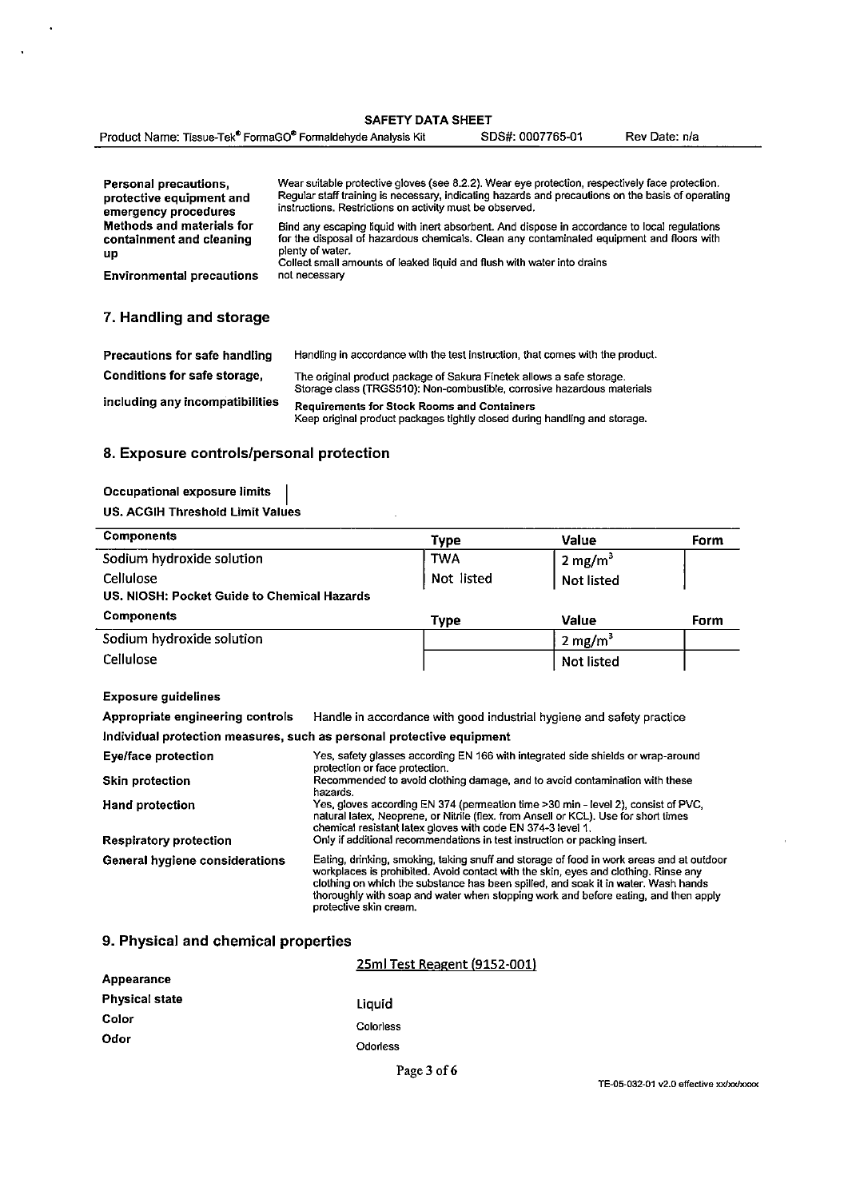| <b>SAFETY DATA SHEET</b> |  |  |
|--------------------------|--|--|
|                          |  |  |

| Product Name: Tissue-Tek <sup>®</sup> FormaGO <sup>®</sup> Formaldehyde Analysis Kit | SDS#: 0007765-01 | Rev Date: n/a |
|--------------------------------------------------------------------------------------|------------------|---------------|
|--------------------------------------------------------------------------------------|------------------|---------------|

| Personal precautions.<br>protective equipment and<br>emergency procedures | Wear suitable protective gloves (see 8.2.2). Wear eye protection, respectively face protection.<br>Regular staff training is necessary, indicating hazards and precautions on the basis of operating<br>instructions. Restrictions on activity must be observed.                          |
|---------------------------------------------------------------------------|-------------------------------------------------------------------------------------------------------------------------------------------------------------------------------------------------------------------------------------------------------------------------------------------|
| Methods and materials for<br>containment and cleaning<br>up               | Bind any escaping liquid with inert absorbent. And dispose in accordance to local regulations<br>for the disposal of hazardous chemicals. Clean any contaminated equipment and floors with<br>plenty of water.<br>Collect small amounts of leaked liquid and flush with water into drains |
| <b>Environmental precautions</b>                                          | not necessary                                                                                                                                                                                                                                                                             |
|                                                                           |                                                                                                                                                                                                                                                                                           |

## 7. Handling and storage

l.

 $\ddot{\phantom{0}}$ 

| Precautions for safe handling   | Handling in accordance with the test instruction, that comes with the product.                                                                   |
|---------------------------------|--------------------------------------------------------------------------------------------------------------------------------------------------|
| Conditions for safe storage,    | The original product package of Sakura Finetek allows a safe storage.<br>Storage class (TRGS510): Non-combustible, corrosive hazardous materials |
| including any incompatibilities | <b>Requirements for Stock Rooms and Containers</b><br>Keep original product packages tightly closed during handling and storage.                 |

## 8. Exposure controls/personal protection

| Occupational exposure limits     |  |
|----------------------------------|--|
| US. ACGIH Threshold Limit Values |  |

| <b>Components</b>                           | Type        | Value              | Form |
|---------------------------------------------|-------------|--------------------|------|
| Sodium hydroxide solution                   | <b>TWA</b>  | $2 \text{ mg/m}^3$ |      |
| Cellulose                                   | Not listed  | Not listed         |      |
| US. NIOSH: Pocket Guide to Chemical Hazards |             |                    |      |
| <b>Components</b>                           | <b>Type</b> | Value              | Form |
| Sodium hydroxide solution                   |             | $2 \text{ mg/m}^3$ |      |
| Cellulose                                   |             | <b>Not listed</b>  |      |

#### **Exposure guidelines**

Appropriate engineering controls Handle in accordance with good industrial hygiene and safety practice

Individual protection measures, such as personal protective equipment

| Eye/face protection            | Yes, safety glasses according EN 166 with integrated side shields or wrap-around<br>protection or face protection.                                                                                                                                                                                                                                                                     |
|--------------------------------|----------------------------------------------------------------------------------------------------------------------------------------------------------------------------------------------------------------------------------------------------------------------------------------------------------------------------------------------------------------------------------------|
| <b>Skin protection</b>         | Recommended to avoid clothing damage, and to avoid contamination with these<br>hazards.                                                                                                                                                                                                                                                                                                |
| <b>Hand protection</b>         | Yes, gloves according EN 374 (permeation time >30 min - level 2), consist of PVC,<br>natural latex, Neoprene, or Nitrile (flex, from Ansell or KCL). Use for short times<br>chemical resistant latex gloves with code EN 374-3 level 1.                                                                                                                                                |
| <b>Respiratory protection</b>  | Only if additional recommendations in test instruction or packing insert.                                                                                                                                                                                                                                                                                                              |
| General hygiene considerations | Eating, drinking, smoking, taking snuff and storage of food in work areas and at outdoor<br>workplaces is prohibited. Avoid contact with the skin, eyes and clothing. Rinse any<br>clothing on which the substance has been spilled, and soak it in water. Wash hands<br>thoroughly with soap and water when stopping work and before eating, and then apply<br>protective skin cream. |

## 9. Physical and chemical properties

|                       | 25ml Test Reagent (9152-001) |
|-----------------------|------------------------------|
| Appearance            |                              |
| <b>Physical state</b> | Liquid                       |
| Color                 | Colorless                    |
| Odor                  | Odorless                     |
|                       |                              |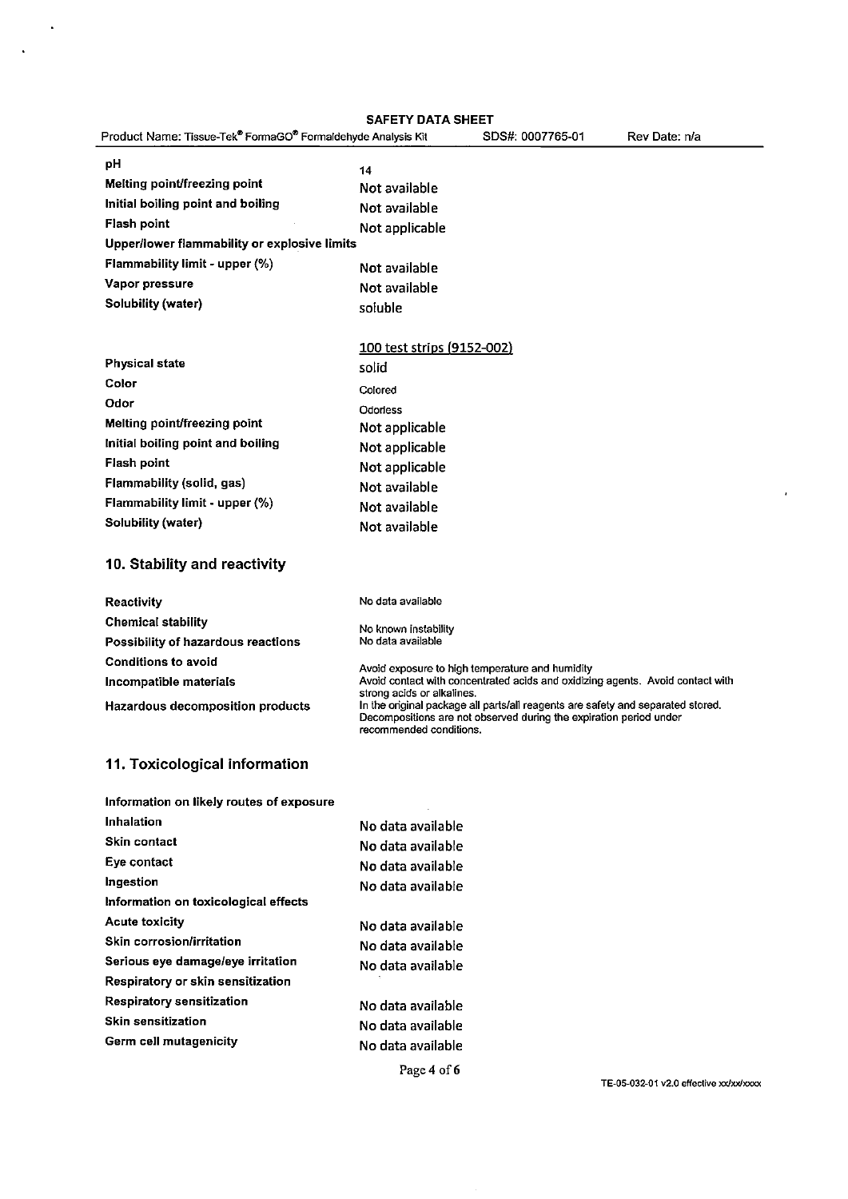$\bar{\mathbf{r}}$ 

 $\ddot{\phantom{1}}$ 

|                                                              | <b>SAFETY DATA SHEET</b>                              |                                                                                                                                                       |               |
|--------------------------------------------------------------|-------------------------------------------------------|-------------------------------------------------------------------------------------------------------------------------------------------------------|---------------|
| Product Name: Tissue-Tek® FormaGO® Formaldehyde Analysis Kit |                                                       | SDS#: 0007765-01                                                                                                                                      | Rev Date: n/a |
| рH                                                           | 14                                                    |                                                                                                                                                       |               |
| Melting point/freezing point                                 | Not available                                         |                                                                                                                                                       |               |
| Initial boiling point and boiling                            | Not available                                         |                                                                                                                                                       |               |
| <b>Flash point</b>                                           | Not applicable                                        |                                                                                                                                                       |               |
| Upper/lower flammability or explosive limits                 |                                                       |                                                                                                                                                       |               |
| Flammability limit - upper (%)                               | Not available                                         |                                                                                                                                                       |               |
| Vapor pressure                                               | Not available                                         |                                                                                                                                                       |               |
| <b>Solubility (water)</b>                                    | soluble                                               |                                                                                                                                                       |               |
|                                                              |                                                       |                                                                                                                                                       |               |
|                                                              | 100 test strips (9152-002)                            |                                                                                                                                                       |               |
| <b>Physical state</b>                                        | solid                                                 |                                                                                                                                                       |               |
| Color                                                        | Colored                                               |                                                                                                                                                       |               |
| Odor                                                         | Odorless                                              |                                                                                                                                                       |               |
| Melting point/freezing point                                 | Not applicable                                        |                                                                                                                                                       |               |
| Initial boiling point and boiling                            | Not applicable                                        |                                                                                                                                                       |               |
| <b>Flash point</b>                                           | Not applicable                                        |                                                                                                                                                       |               |
| Flammability (solid, gas)                                    | Not available                                         |                                                                                                                                                       |               |
| Flammability limit - upper (%)                               | Not available                                         |                                                                                                                                                       |               |
| <b>Solubility (water)</b>                                    | Not available                                         |                                                                                                                                                       |               |
| 10. Stability and reactivity                                 |                                                       |                                                                                                                                                       |               |
|                                                              |                                                       |                                                                                                                                                       |               |
| <b>Reactivity</b>                                            | No data available                                     |                                                                                                                                                       |               |
| <b>Chemical stability</b>                                    | No known instability                                  |                                                                                                                                                       |               |
| Possibility of hazardous reactions                           | No data available                                     |                                                                                                                                                       |               |
| <b>Conditions to avoid</b>                                   |                                                       | Avoid exposure to high temperature and humidity                                                                                                       |               |
| Incompatible materials                                       |                                                       | Avoid contact with concentrated acids and oxidizing agents. Avoid contact with                                                                        |               |
| Hazardous decomposition products                             | strong acids or alkalines.<br>recommended conditions. | In the original package all parts/all reagents are safety and separated stored.<br>Decompositions are not observed during the expiration period under |               |
| 11. Toxicological information                                |                                                       |                                                                                                                                                       |               |
| Information on likely routes of exposure                     |                                                       |                                                                                                                                                       |               |
| Inhalation                                                   | No data available                                     |                                                                                                                                                       |               |
| Skin contact                                                 | No data available                                     |                                                                                                                                                       |               |
| Eye contact                                                  | No data available                                     |                                                                                                                                                       |               |
| Ingestion                                                    | No data available                                     |                                                                                                                                                       |               |
| Information on toxicological effects                         |                                                       |                                                                                                                                                       |               |

No data available No data available

Acute toxicity

Skin corrosion/irritation

Respiratory sensitization

Germ cell mutagenicity

**Skin sensitization** 

Serious eye damage/eye irritation

Respiratory or skin sensitization

No data available

No data available

No data available

No data available

 $\epsilon$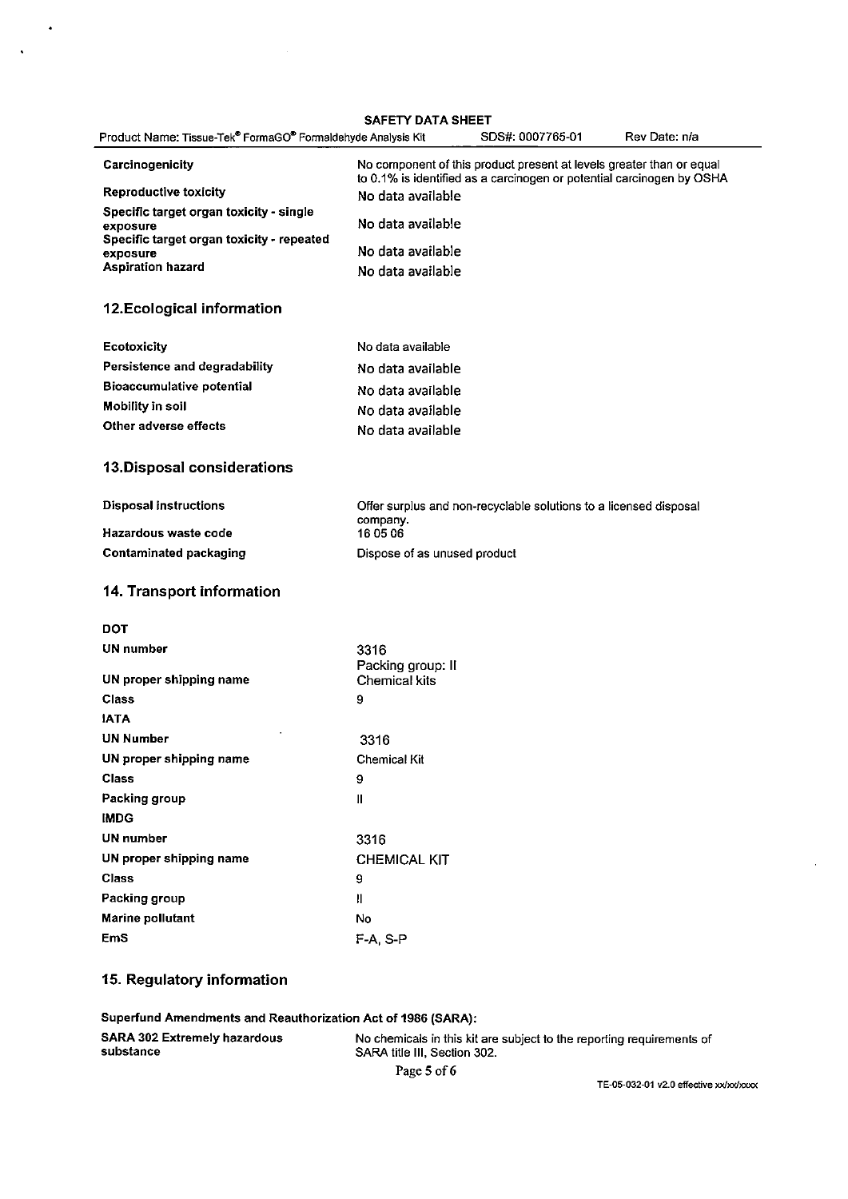SAFETY DATA SHEET

| Product Name: Tissue-Tek® FormaGO® Formaldehyde Analysis Kit | SAFEIT DATA SHEEI<br>SDS#: 0007765-01<br>Rev Date: n/a                                                                                        |
|--------------------------------------------------------------|-----------------------------------------------------------------------------------------------------------------------------------------------|
| Carcinogenicity                                              | No component of this product present at levels greater than or equal<br>to 0.1% is identified as a carcinogen or potential carcinogen by OSHA |
| <b>Reproductive toxicity</b>                                 | No data available                                                                                                                             |
| Specific target organ toxicity - single<br>exposure          | No data available                                                                                                                             |
| Specific target organ toxicity - repeated<br>exposure        | No data available                                                                                                                             |
| <b>Aspiration hazard</b>                                     | No data available                                                                                                                             |
| 12. Ecological information                                   |                                                                                                                                               |
| Ecotoxicity                                                  | No data available                                                                                                                             |
| Persistence and degradability                                | No data available                                                                                                                             |
| <b>Bioaccumulative potential</b>                             | No data available                                                                                                                             |
| <b>Mobility in soil</b>                                      | No data available                                                                                                                             |
| Other adverse effects                                        | No data available                                                                                                                             |
| 13. Disposal considerations                                  |                                                                                                                                               |
| <b>Disposal instructions</b>                                 | Offer surplus and non-recyclable solutions to a licensed disposal                                                                             |
| Hazardous waste code                                         | company.<br>16 05 06                                                                                                                          |
| <b>Contaminated packaging</b>                                | Dispose of as unused product                                                                                                                  |
| 14. Transport information                                    |                                                                                                                                               |
| <b>DOT</b>                                                   |                                                                                                                                               |
| UN number                                                    | 3316<br>Packing group: II                                                                                                                     |
| UN proper shipping name                                      | <b>Chemical kits</b>                                                                                                                          |
| Class                                                        | 9                                                                                                                                             |
| <b>JATA</b>                                                  |                                                                                                                                               |
| <b>UN Number</b>                                             | 3316                                                                                                                                          |
| UN proper shipping name                                      | <b>Chemical Kit</b>                                                                                                                           |
| Class                                                        | 9                                                                                                                                             |
| Packing group                                                | $\rm H$                                                                                                                                       |
| <b>IMDG</b>                                                  |                                                                                                                                               |
| <b>UN</b> number                                             | 3316                                                                                                                                          |
| UN proper shipping name                                      | <b>CHEMICAL KIT</b>                                                                                                                           |
| <b>Class</b>                                                 | 9                                                                                                                                             |
| Packing group                                                | $\mathbf{II}$                                                                                                                                 |
| <b>Marine pollutant</b>                                      | No                                                                                                                                            |
| <b>EmS</b>                                                   | F-A, S-P                                                                                                                                      |

# 15. Regulatory information

 $\mathcal{L}$ 

 $\ddot{\phantom{a}}$ 

Superfund Amendments and Reauthorization Act of 1986 (SARA): **SARA 302 Extremely hazardous** No chemicals in this kit are subject to the reporting requirements of substance SARA title III, Section 302.

Page 5 of 6